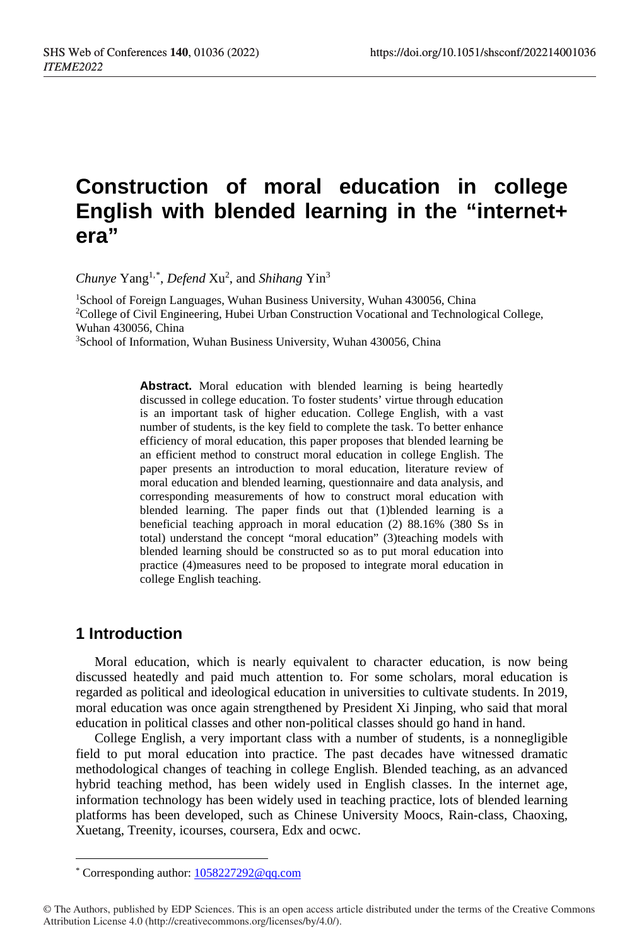# **Construction of moral education in college English with blended learning in the "internet+ era"**

Chunye Yang<sup>1,[\\*](#page-0-0)</sup>, *Defend* Xu<sup>2</sup>, and *Shihang* Yin<sup>3</sup>

<sup>1</sup>School of Foreign Languages, Wuhan Business University, Wuhan 430056, China <sup>2</sup>College of Civil Engineering, Hubei Urban Construction Vocational and Technological College, Wuhan 430056, China

3School of Information, Wuhan Business University, Wuhan 430056, China

**Abstract.** Moral education with blended learning is being heartedly discussed in college education. To foster students' virtue through education is an important task of higher education. College English, with a vast number of students, is the key field to complete the task. To better enhance efficiency of moral education, this paper proposes that blended learning be an efficient method to construct moral education in college English. The paper presents an introduction to moral education, literature review of moral education and blended learning, questionnaire and data analysis, and corresponding measurements of how to construct moral education with blended learning. The paper finds out that (1)blended learning is a beneficial teaching approach in moral education (2) 88.16% (380 Ss in total) understand the concept "moral education" (3)teaching models with blended learning should be constructed so as to put moral education into practice (4)measures need to be proposed to integrate moral education in college English teaching.

# **1 Introduction**

 $\overline{a}$ 

Moral education, which is nearly equivalent to character education, is now being discussed heatedly and paid much attention to. For some scholars, moral education is regarded as political and ideological education in universities to cultivate students. In 2019, moral education was once again strengthened by President Xi Jinping, who said that moral education in political classes and other non-political classes should go hand in hand.

College English, a very important class with a number of students, is a nonnegligible field to put moral education into practice. The past decades have witnessed dramatic methodological changes of teaching in college English. Blended teaching, as an advanced hybrid teaching method, has been widely used in English classes. In the internet age, information technology has been widely used in teaching practice, lots of blended learning platforms has been developed, such as Chinese University Moocs, Rain-class, Chaoxing, Xuetang, Treenity, icourses, coursera, Edx and ocwc.

<sup>\*</sup> Corresponding author[: 1058227292@qq.com](mailto:1058227292@qq.com)

<span id="page-0-0"></span><sup>©</sup> The Authors, published by EDP Sciences. This is an open access article distributed under the terms of the Creative Commons Attribution License 4.0 (http://creativecommons.org/licenses/by/4.0/).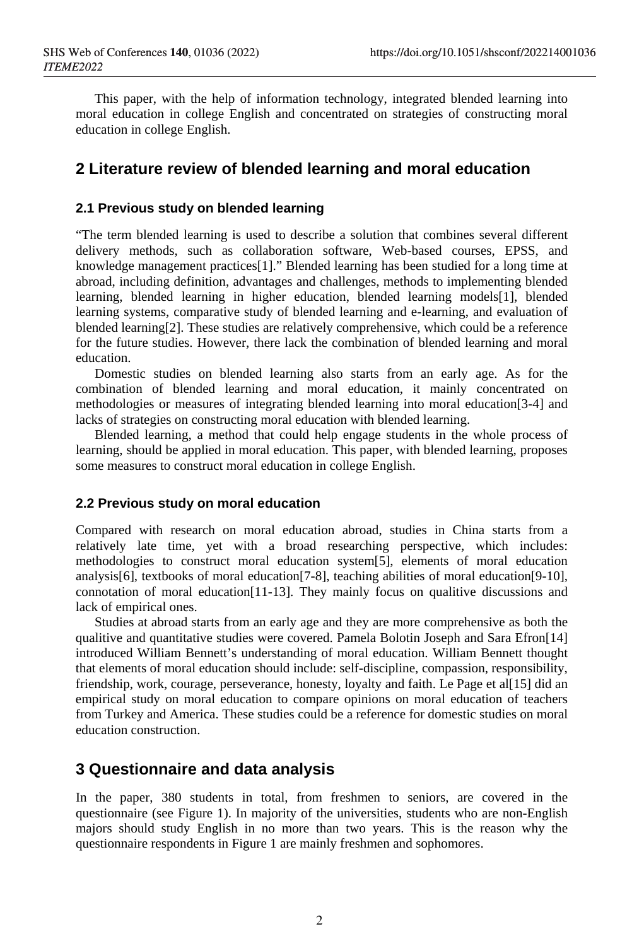This paper, with the help of information technology, integrated blended learning into moral education in college English and concentrated on strategies of constructing moral education in college English.

# **2 Literature review of blended learning and moral education**

### **2.1 Previous study on blended learning**

"The term blended learning is used to describe a solution that combines several different delivery methods, such as collaboration software, Web-based courses, EPSS, and knowledge management practices[1]." Blended learning has been studied for a long time at abroad, including definition, advantages and challenges, methods to implementing blended learning, blended learning in higher education, blended learning models[1], blended learning systems, comparative study of blended learning and e-learning, and evaluation of blended learning[2]. These studies are relatively comprehensive, which could be a reference for the future studies. However, there lack the combination of blended learning and moral education.

Domestic studies on blended learning also starts from an early age. As for the combination of blended learning and moral education, it mainly concentrated on methodologies or measures of integrating blended learning into moral education[3-4] and lacks of strategies on constructing moral education with blended learning.

Blended learning, a method that could help engage students in the whole process of learning, should be applied in moral education. This paper, with blended learning, proposes some measures to construct moral education in college English.

### **2.2 Previous study on moral education**

Compared with research on moral education abroad, studies in China starts from a relatively late time, yet with a broad researching perspective, which includes: methodologies to construct moral education system[5], elements of moral education analysis[6], textbooks of moral education[7-8], teaching abilities of moral education[9-10], connotation of moral education[11-13]. They mainly focus on qualitive discussions and lack of empirical ones.

Studies at abroad starts from an early age and they are more comprehensive as both the qualitive and quantitative studies were covered. Pamela Bolotin Joseph and Sara Efron[14] introduced William Bennett's understanding of moral education. William Bennett thought that elements of moral education should include: self-discipline, compassion, responsibility, friendship, work, courage, perseverance, honesty, loyalty and faith. Le Page et al[15] did an empirical study on moral education to compare opinions on moral education of teachers from Turkey and America. These studies could be a reference for domestic studies on moral education construction.

### **3 Questionnaire and data analysis**

In the paper, 380 students in total, from freshmen to seniors, are covered in the questionnaire (see Figure 1). In majority of the universities, students who are non-English majors should study English in no more than two years. This is the reason why the questionnaire respondents in Figure 1 are mainly freshmen and sophomores.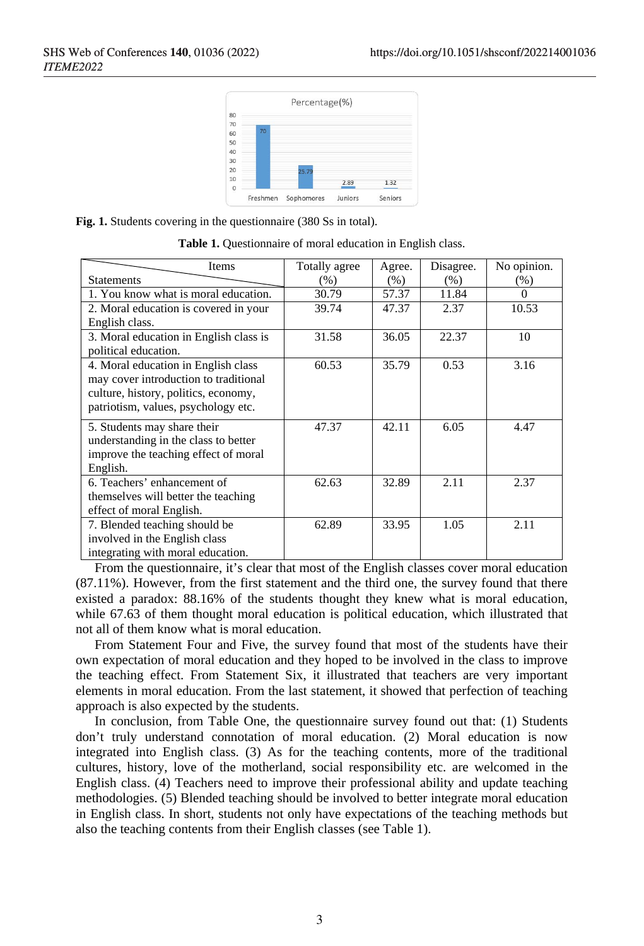

**Fig. 1.** Students covering in the questionnaire (380 Ss in total).

| Items                                  | Totally agree | Agree. | Disagree. | No opinion. |
|----------------------------------------|---------------|--------|-----------|-------------|
| <b>Statements</b>                      | (% )          | (% )   | (% )      | $(\%)$      |
| 1. You know what is moral education.   | 30.79         | 57.37  | 11.84     | $\Omega$    |
| 2. Moral education is covered in your  | 39.74         | 47.37  | 2.37      | 10.53       |
| English class.                         |               |        |           |             |
| 3. Moral education in English class is | 31.58         | 36.05  | 22.37     | 10          |
| political education.                   |               |        |           |             |
| 4. Moral education in English class    | 60.53         | 35.79  | 0.53      | 3.16        |
| may cover introduction to traditional  |               |        |           |             |
| culture, history, politics, economy,   |               |        |           |             |
| patriotism, values, psychology etc.    |               |        |           |             |
| 5. Students may share their            | 47.37         | 42.11  | 6.05      | 4.47        |
| understanding in the class to better   |               |        |           |             |
| improve the teaching effect of moral   |               |        |           |             |
| English.                               |               |        |           |             |
| 6. Teachers' enhancement of            | 62.63         | 32.89  | 2.11      | 2.37        |
| themselves will better the teaching    |               |        |           |             |
| effect of moral English.               |               |        |           |             |
| 7. Blended teaching should be          | 62.89         | 33.95  | 1.05      | 2.11        |
| involved in the English class          |               |        |           |             |
| integrating with moral education.      |               |        |           |             |

|  |  |  |  |  | Table 1. Questionnaire of moral education in English class. |  |  |  |
|--|--|--|--|--|-------------------------------------------------------------|--|--|--|
|--|--|--|--|--|-------------------------------------------------------------|--|--|--|

From the questionnaire, it's clear that most of the English classes cover moral education (87.11%). However, from the first statement and the third one, the survey found that there existed a paradox: 88.16% of the students thought they knew what is moral education, while 67.63 of them thought moral education is political education, which illustrated that not all of them know what is moral education.

From Statement Four and Five, the survey found that most of the students have their own expectation of moral education and they hoped to be involved in the class to improve the teaching effect. From Statement Six, it illustrated that teachers are very important elements in moral education. From the last statement, it showed that perfection of teaching approach is also expected by the students.

In conclusion, from Table One, the questionnaire survey found out that: (1) Students don't truly understand connotation of moral education. (2) Moral education is now integrated into English class. (3) As for the teaching contents, more of the traditional cultures, history, love of the motherland, social responsibility etc. are welcomed in the English class. (4) Teachers need to improve their professional ability and update teaching methodologies. (5) Blended teaching should be involved to better integrate moral education in English class. In short, students not only have expectations of the teaching methods but also the teaching contents from their English classes (see Table 1).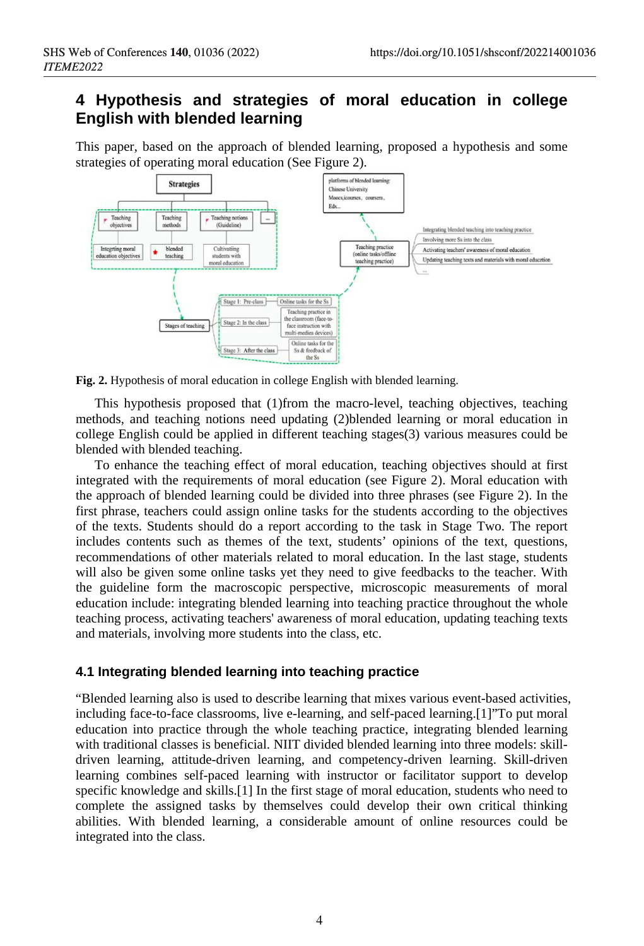# **4 Hypothesis and strategies of moral education in college English with blended learning**

This paper, based on the approach of blended learning, proposed a hypothesis and some strategies of operating moral education (See Figure 2).





This hypothesis proposed that (1)from the macro-level, teaching objectives, teaching methods, and teaching notions need updating (2)blended learning or moral education in college English could be applied in different teaching stages(3) various measures could be blended with blended teaching.

To enhance the teaching effect of moral education, teaching objectives should at first integrated with the requirements of moral education (see Figure 2). Moral education with the approach of blended learning could be divided into three phrases (see Figure 2). In the first phrase, teachers could assign online tasks for the students according to the objectives of the texts. Students should do a report according to the task in Stage Two. The report includes contents such as themes of the text, students' opinions of the text, questions, recommendations of other materials related to moral education. In the last stage, students will also be given some online tasks yet they need to give feedbacks to the teacher. With the guideline form the macroscopic perspective, microscopic measurements of moral education include: integrating blended learning into teaching practice throughout the whole teaching process, activating teachers' awareness of moral education, updating teaching texts and materials, involving more students into the class, etc.

### **4.1 Integrating blended learning into teaching practice**

"Blended learning also is used to describe learning that mixes various event-based activities, including face-to-face classrooms, live e-learning, and self-paced learning.[1]"To put moral education into practice through the whole teaching practice, integrating blended learning with traditional classes is beneficial. NIIT divided blended learning into three models: skilldriven learning, attitude-driven learning, and competency-driven learning. Skill-driven learning combines self-paced learning with instructor or facilitator support to develop specific knowledge and skills.[1] In the first stage of moral education, students who need to complete the assigned tasks by themselves could develop their own critical thinking abilities. With blended learning, a considerable amount of online resources could be integrated into the class.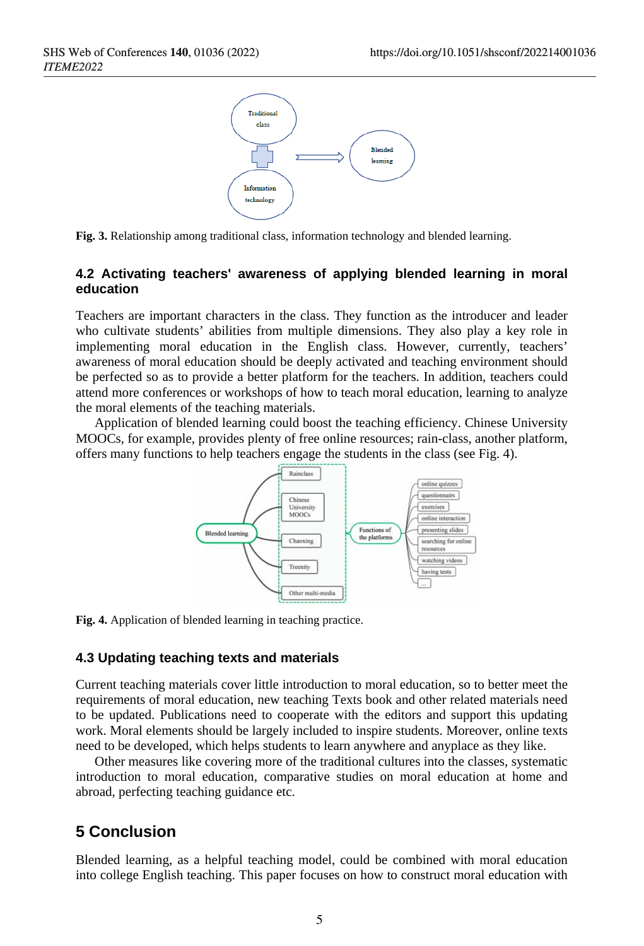

**Fig. 3.** Relationship among traditional class, information technology and blended learning.

### **4.2 Activating teachers' awareness of applying blended learning in moral education**

Teachers are important characters in the class. They function as the introducer and leader who cultivate students' abilities from multiple dimensions. They also play a key role in implementing moral education in the English class. However, currently, teachers' awareness of moral education should be deeply activated and teaching environment should be perfected so as to provide a better platform for the teachers. In addition, teachers could attend more conferences or workshops of how to teach moral education, learning to analyze the moral elements of the teaching materials.

Application of blended learning could boost the teaching efficiency. Chinese University MOOCs, for example, provides plenty of free online resources; rain-class, another platform, offers many functions to help teachers engage the students in the class (see Fig. 4).



**Fig. 4.** Application of blended learning in teaching practice.

### **4.3 Updating teaching texts and materials**

Current teaching materials cover little introduction to moral education, so to better meet the requirements of moral education, new teaching Texts book and other related materials need to be updated. Publications need to cooperate with the editors and support this updating work. Moral elements should be largely included to inspire students. Moreover, online texts need to be developed, which helps students to learn anywhere and anyplace as they like.

Other measures like covering more of the traditional cultures into the classes, systematic introduction to moral education, comparative studies on moral education at home and abroad, perfecting teaching guidance etc.

# **5 Conclusion**

Blended learning, as a helpful teaching model, could be combined with moral education into college English teaching. This paper focuses on how to construct moral education with